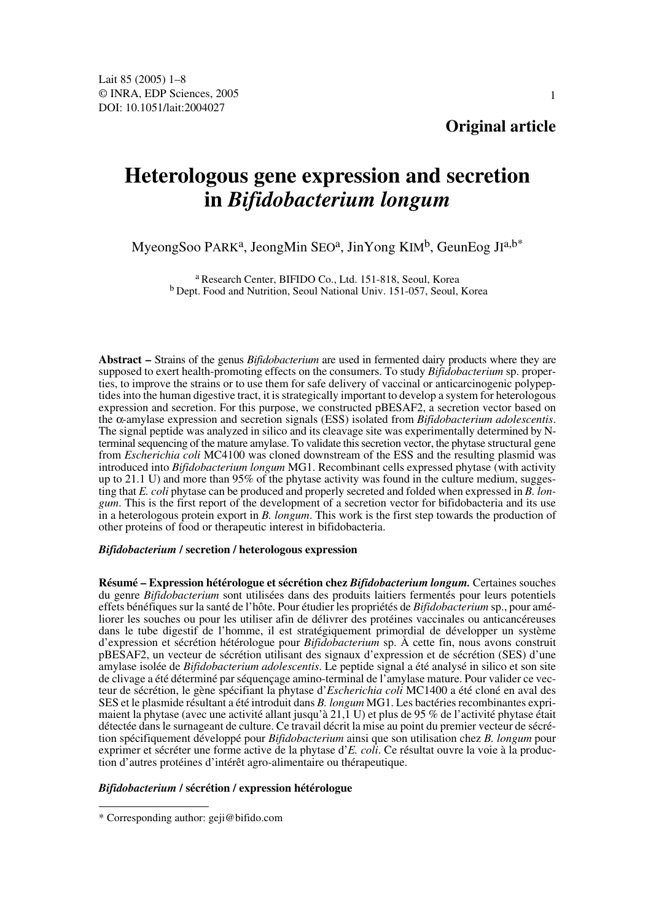**Original article**

# **Heterologous gene expression and secretion in** *Bifidobacterium longum*

# MyeongSoo PARK<sup>a</sup>, JeongMin SEO<sup>a</sup>, JinYong KIM<sup>b</sup>, GeunEog JI<sup>a,b\*</sup>

a Research Center, BIFIDO Co., Ltd. 151-818, Seoul, Korea b Dept. Food and Nutrition, Seoul National Univ. 151-057, Seoul, Korea

**Abstract –** Strains of the genus *Bifidobacterium* are used in fermented dairy products where they are supposed to exert health-promoting effects on the consumers. To study *Bifidobacterium* sp. properties, to improve the strains or to use them for safe delivery of vaccinal or anticarcinogenic polypeptides into the human digestive tract, it is strategically important to develop a system for heterologous expression and secretion. For this purpose, we constructed pBESAF2, a secretion vector based on the α-amylase expression and secretion signals (ESS) isolated from *Bifidobacterium adolescentis*. The signal peptide was analyzed in silico and its cleavage site was experimentally determined by Nterminal sequencing of the mature amylase. To validate this secretion vector, the phytase structural gene from *Escherichia coli* MC4100 was cloned downstream of the ESS and the resulting plasmid was introduced into *Bifidobacterium longum* MG1. Recombinant cells expressed phytase (with activity up to 21.1 U) and more than 95% of the phytase activity was found in the culture medium, suggesting that *E. coli* phytase can be produced and properly secreted and folded when expressed in *B. longum*. This is the first report of the development of a secretion vector for bifidobacteria and its use in a heterologous protein export in *B. longum*. This work is the first step towards the production of other proteins of food or therapeutic interest in bifidobacteria.

# *Bifidobacterium* **/ secretion / heterologous expression**

**Résumé – Expression hétérologue et sécrétion chez** *Bifidobacterium longum.* Certaines souches du genre *Bifidobacterium* sont utilisées dans des produits laitiers fermentés pour leurs potentiels effets bénéfiques sur la santé de l'hôte. Pour étudier les propriétés de *Bifidobacterium* sp., pour améliorer les souches ou pour les utiliser afin de délivrer des protéines vaccinales ou anticancéreuses dans le tube digestif de l'homme, il est stratégiquement primordial de développer un système d'expression et sécrétion hétérologue pour *Bifidobacterium* sp. À cette fin, nous avons construit pBESAF2, un vecteur de sécrétion utilisant des signaux d'expression et de sécrétion (SES) d'une amylase isolée de *Bifidobacterium adolescentis*. Le peptide signal a été analysé in silico et son site de clivage a été déterminé par séquençage amino-terminal de l'amylase mature. Pour valider ce vecteur de sécrétion, le gène spécifiant la phytase d'*Escherichia coli* MC1400 a été cloné en aval des SES et le plasmide résultant a été introduit dans *B. longum* MG1. Les bactéries recombinantes exprimaient la phytase (avec une activité allant jusqu'à 21,1 U) et plus de 95 % de l'activité phytase était détectée dans le surnageant de culture. Ce travail décrit la mise au point du premier vecteur de sécrétion spécifiquement développé pour *Bifidobacterium* ainsi que son utilisation chez *B. longum* pour exprimer et sécréter une forme active de la phytase d'*E. coli*. Ce résultat ouvre la voie à la production d'autres protéines d'intérêt agro-alimentaire ou thérapeutique.

#### *Bifidobacterium* **/ sécrétion / expression hétérologue**

<sup>\*</sup> Corresponding author: geji@bifido.com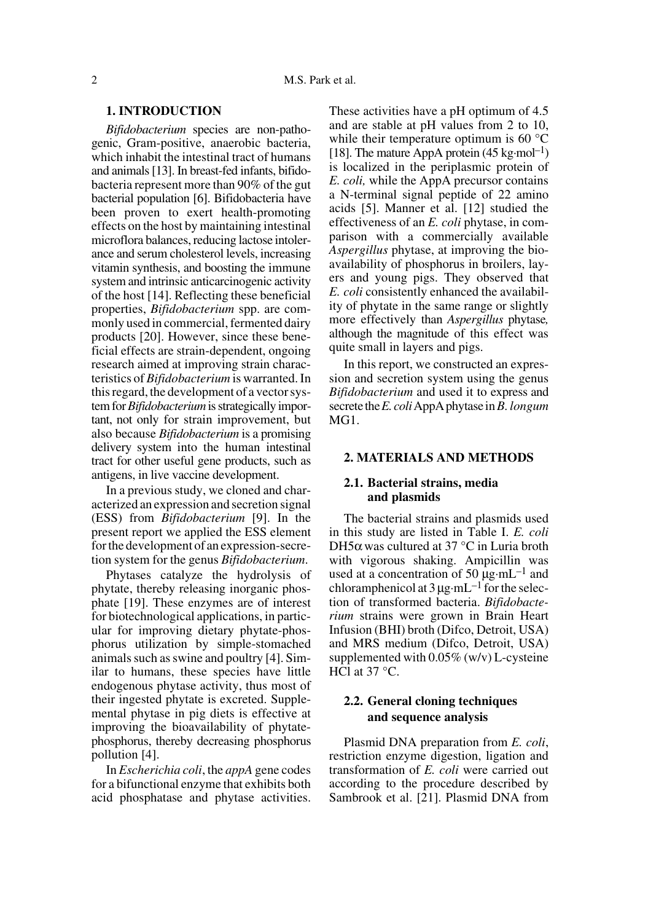# **1. INTRODUCTION**

*Bifidobacterium* species are non-pathogenic, Gram-positive, anaerobic bacteria, which inhabit the intestinal tract of humans and animals [13]. In breast-fed infants, bifidobacteria represent more than 90% of the gut bacterial population [6]. Bifidobacteria have been proven to exert health-promoting effects on the host by maintaining intestinal microflora balances, reducing lactose intolerance and serum cholesterol levels, increasing vitamin synthesis, and boosting the immune system and intrinsic anticarcinogenic activity of the host [14]. Reflecting these beneficial properties, *Bifidobacterium* spp. are commonly used in commercial, fermented dairy products [20]. However, since these beneficial effects are strain-dependent, ongoing research aimed at improving strain characteristics of *Bifidobacterium* is warranted. In this regard, the development of a vector system for *Bifidobacterium* is strategically important, not only for strain improvement, but also because *Bifidobacterium* is a promising delivery system into the human intestinal tract for other useful gene products, such as antigens, in live vaccine development.

In a previous study, we cloned and characterized an expression and secretion signal (ESS) from *Bifidobacterium* [9]. In the present report we applied the ESS element for the development of an expression-secretion system for the genus *Bifidobacterium*.

Phytases catalyze the hydrolysis of phytate, thereby releasing inorganic phosphate [19]. These enzymes are of interest for biotechnological applications, in particular for improving dietary phytate-phosphorus utilization by simple-stomached animals such as swine and poultry [4]. Similar to humans, these species have little endogenous phytase activity, thus most of their ingested phytate is excreted. Supplemental phytase in pig diets is effective at improving the bioavailability of phytatephosphorus, thereby decreasing phosphorus pollution [4].

In *Escherichia coli*, the *appA* gene codes for a bifunctional enzyme that exhibits both acid phosphatase and phytase activities.

These activities have a pH optimum of 4.5 and are stable at pH values from 2 to 10, while their temperature optimum is 60 °C [18]. The mature AppA protein  $(45 \text{ kg} \cdot \text{mol}^{-1})$ is localized in the periplasmic protein of *E. coli,* while the AppA precursor contains a N-terminal signal peptide of 22 amino acids [5]. Manner et al. [12] studied the effectiveness of an *E. coli* phytase, in comparison with a commercially available *Aspergillus* phytase, at improving the bioavailability of phosphorus in broilers, layers and young pigs. They observed that *E. coli* consistently enhanced the availability of phytate in the same range or slightly more effectively than *Aspergillus* phytase*,* although the magnitude of this effect was quite small in layers and pigs.

In this report, we constructed an expression and secretion system using the genus *Bifidobacterium* and used it to express and secrete the *E. coli* AppA phytase in *B. longum* MG1.

# **2. MATERIALS AND METHODS**

# **2.1. Bacterial strains, media and plasmids**

The bacterial strains and plasmids used in this study are listed in Table I. *E. coli* DH5α was cultured at 37 °C in Luria broth with vigorous shaking. Ampicillin was used at a concentration of 50  $\mu$ g·mL<sup>-1</sup> and chloramphenicol at  $3 \mu$ g·mL<sup>-1</sup> for the selection of transformed bacteria. *Bifidobacterium* strains were grown in Brain Heart Infusion (BHI) broth (Difco, Detroit, USA) and MRS medium (Difco, Detroit, USA) supplemented with 0.05% (w/v) L-cysteine HCl at 37 °C.

# **2.2. General cloning techniques and sequence analysis**

Plasmid DNA preparation from *E. coli*, restriction enzyme digestion, ligation and transformation of *E. coli* were carried out according to the procedure described by Sambrook et al. [21]. Plasmid DNA from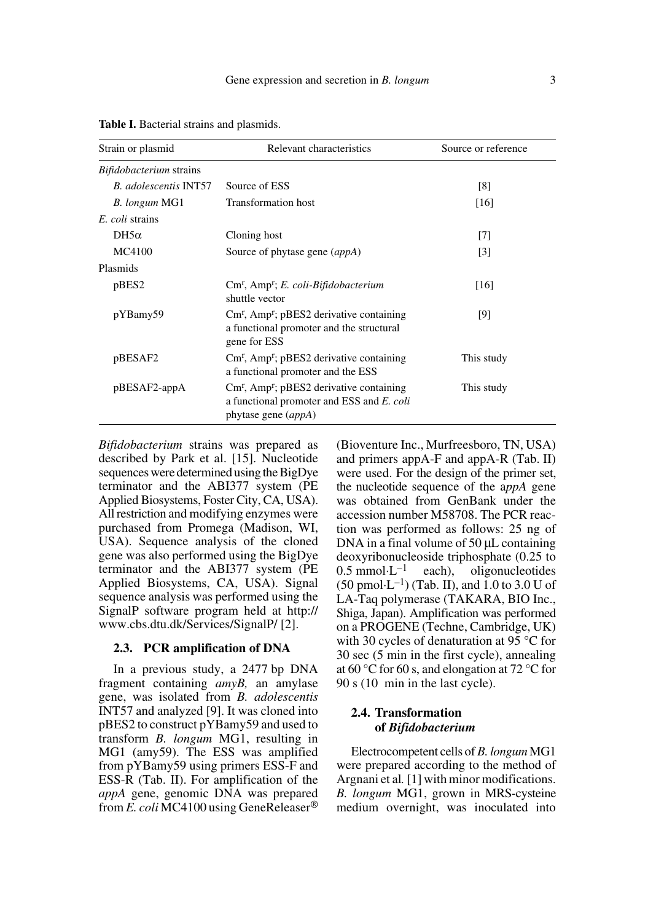| Strain or plasmid                   | Relevant characteristics                                                                                                                    | Source or reference |
|-------------------------------------|---------------------------------------------------------------------------------------------------------------------------------------------|---------------------|
| <i>Bifidobacterium</i> strains      |                                                                                                                                             |                     |
| <b>B.</b> adolescentis <b>INT57</b> | Source of ESS                                                                                                                               | [8]                 |
| B. longum MG1                       | <b>Transformation host</b>                                                                                                                  | [16]                |
| E. coli strains                     |                                                                                                                                             |                     |
| $DH5\alpha$                         | Cloning host                                                                                                                                | $[7]$               |
| MC4100                              | Source of phytase gene (appA)                                                                                                               | $[3]$               |
| Plasmids                            |                                                                                                                                             |                     |
| pBES2                               | Cm <sup>r</sup> , Amp <sup>r</sup> ; E. coli-Bifidobacterium<br>shuttle vector                                                              | [16]                |
| pYBamy59                            | $Cmr$ , Amp <sup>r</sup> ; pBES2 derivative containing<br>a functional promoter and the structural<br>gene for ESS                          | [9]                 |
| pBESAF2                             | $Cmr$ , Amp <sup>r</sup> ; pBES2 derivative containing<br>a functional promoter and the ESS                                                 | This study          |
| pBESAF2-appA                        | $\text{Cm}^{\text{r}}$ , Amp <sup>r</sup> ; pBES2 derivative containing<br>a functional promoter and ESS and E. coli<br>phytase gene (appA) | This study          |

**Table I.** Bacterial strains and plasmids.

*Bifidobacterium* strains was prepared as described by Park et al. [15]. Nucleotide sequences were determined using the BigDye terminator and the ABI377 system (PE Applied Biosystems, Foster City, CA, USA). All restriction and modifying enzymes were purchased from Promega (Madison, WI, USA). Sequence analysis of the cloned gene was also performed using the BigDye terminator and the ABI377 system (PE Applied Biosystems, CA, USA). Signal sequence analysis was performed using the SignalP software program held at http:// www.cbs.dtu.dk/Services/SignalP/ [2].

# **2.3. PCR amplification of DNA**

In a previous study, a 2477 bp DNA fragment containing *amyB,* an amylase gene, was isolated from *B. adolescentis* INT57 and analyzed [9]. It was cloned into pBES2 to construct pYBamy59 and used to transform *B. longum* MG1, resulting in MG1 (amy59). The ESS was amplified from pYBamy59 using primers ESS-F and ESS-R (Tab. II). For amplification of the *appA* gene, genomic DNA was prepared from *E. coli* MC4100 using GeneReleaser® (Bioventure Inc., Murfreesboro, TN, USA) and primers appA-F and appA-R (Tab. II) were used. For the design of the primer set, the nucleotide sequence of the a*ppA* gene was obtained from GenBank under the accession number M58708. The PCR reaction was performed as follows: 25 ng of DNA in a final volume of  $50 \mu L$  containing deoxyribonucleoside triphosphate  $(0.25 \text{ to } 0.5 \text{ mmol} \cdot \text{L}^{-1}$  each), oligonucleotides oligonucleotides  $(50 \text{ pmol·L}^{-1})$  (Tab. II), and 1.0 to 3.0 U of LA-Taq polymerase (TAKARA, BIO Inc., Shiga, Japan). Amplification was performed on a PROGENE (Techne, Cambridge, UK) with 30 cycles of denaturation at 95 °C for 30 sec (5 min in the first cycle), annealing at 60 °C for 60 s, and elongation at 72 °C for 90 s (10 min in the last cycle).

# **2.4. Transformation of** *Bifidobacterium*

Electrocompetent cells of *B. longum* MG1 were prepared according to the method of Argnani et al*.* [1] with minor modifications. *B. longum* MG1, grown in MRS-cysteine medium overnight, was inoculated into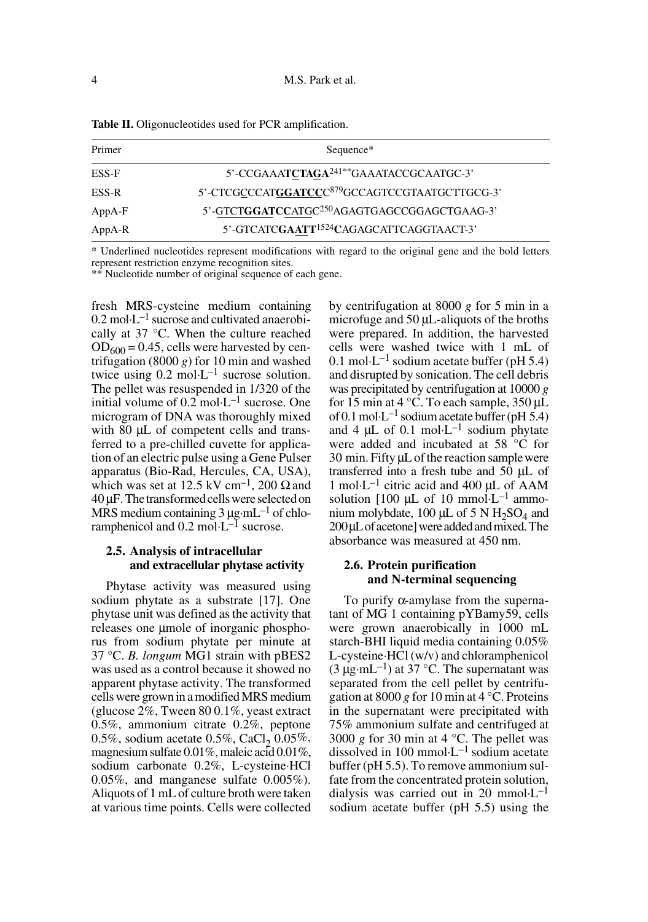| Primer   | Sequence*                                                  |
|----------|------------------------------------------------------------|
| ESS-F    | 5'-CCGAAATCTAGA <sup>241**</sup> GAAATACCGCAATGC-3'        |
| ESS-R    | 5'-CTCGCCCATGGATCCC <sup>879</sup> GCCAGTCCGTAATGCTTGCG-3' |
| $AppA-F$ | 5'-GTCTGGATCCATGC <sup>250</sup> AGAGTGAGCCGGAGCTGAAG-3'   |
| $AppA-R$ | 5'-GTCATCGAATT <sup>1524</sup> CAGAGCATTCAGGTAACT-3'       |

**Table II.** Oligonucleotides used for PCR amplification.

\* Underlined nucleotides represent modifications with regard to the original gene and the bold letters represent restriction enzyme recognition sites.

\*\* Nucleotide number of original sequence of each gene.

fresh MRS-cysteine medium containing  $0.2 \text{ mol} \cdot \text{L}^{-1}$  sucrose and cultivated anaerobically at 37 °C. When the culture reached  $OD_{600} = 0.45$ , cells were harvested by centrifugation  $(8000 g)$  for 10 min and washed twice using  $0.2 \text{ mol} \cdot \text{L}^{-1}$  sucrose solution. The pellet was resuspended in 1/320 of the initial volume of  $0.2 \text{ mol-L}^{-1}$  sucrose. One microgram of DNA was thoroughly mixed with 80 µL of competent cells and transferred to a pre-chilled cuvette for application of an electric pulse using a Gene Pulser apparatus (Bio-Rad, Hercules, CA, USA), which was set at 12.5 kV cm<sup>-1</sup>, 200  $\Omega$  and 40 µF. The transformed cells were selected on MRS medium containing  $3 \mu$ g·mL<sup>-1</sup> of chloramphenicol and  $0.2 \text{ mol} \cdot L^{-1}$  sucrose.

# **2.5. Analysis of intracellular and extracellular phytase activity**

Phytase activity was measured using sodium phytate as a substrate [17]. One phytase unit was defined as the activity that releases one µmole of inorganic phosphorus from sodium phytate per minute at 37 °C. *B. longum* MG1 strain with pBES2 was used as a control because it showed no apparent phytase activity. The transformed cells were grown in a modified MRS medium (glucose 2%, Tween 80 0.1%, yeast extract 0.5%, ammonium citrate 0.2%, peptone 0.5%, sodium acetate 0.5%, CaCl<sub>2</sub> 0.05%, magnesium sulfate 0.01%, maleic acid 0.01%, sodium carbonate 0.2%, L-cysteine·HCl 0.05%, and manganese sulfate 0.005%). Aliquots of 1 mL of culture broth were taken at various time points. Cells were collected by centrifugation at 8000 *g* for 5 min in a microfuge and 50 µL-aliquots of the broths were prepared. In addition, the harvested cells were washed twice with 1 mL of 0.1 mol·L<sup>-1</sup> sodium acetate buffer (pH 5.4) and disrupted by sonication. The cell debris was precipitated by centrifugation at 10000 *g* for 15 min at 4  $\degree$ C. To each sample, 350 µL of 0.1 mol·L<sup>-1</sup> sodium acetate buffer (pH 5.4) and 4  $\mu$ L of 0.1 mol·L<sup>-1</sup> sodium phytate were added and incubated at 58 °C for 30 min. Fifty µL of the reaction sample were transferred into a fresh tube and 50 µL of 1 mol $\cdot$ L<sup>-1</sup> citric acid and 400  $\mu$ L of AAM solution [100  $\mu$ L of 10 mmol·L<sup>-1</sup> ammonium molybdate, 100  $\mu$ L of 5 N H<sub>2</sub>SO<sub>4</sub> and 200 µL of acetone] were added and mixed. The absorbance was measured at 450 nm.

# **2.6. Protein purification and N-terminal sequencing**

To purify α-amylase from the supernatant of MG 1 containing pYBamy59, cells were grown anaerobically in 1000 mL starch-BHI liquid media containing 0.05% L-cysteine·HCl (w/v) and chloramphenicol  $(3 \mu g \cdot mL^{-1})$  at 37 °C. The supernatant was separated from the cell pellet by centrifugation at 8000 g for 10 min at  $4^{\circ}$ C. Proteins in the supernatant were precipitated with 75% ammonium sulfate and centrifuged at 3000 *g* for 30 min at 4 °C. The pellet was dissolved in 100 mmol $\cdot L^{-1}$  sodium acetate buffer (pH 5.5). To remove ammonium sulfate from the concentrated protein solution, dialysis was carried out in 20 mmol $\cdot L^{-1}$ sodium acetate buffer (pH 5.5) using the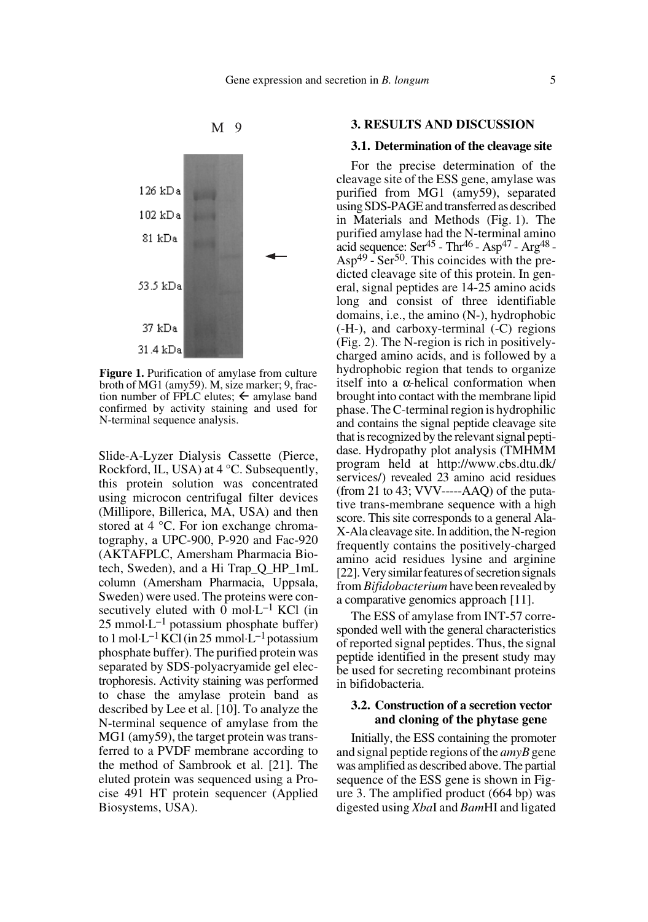

**Figure 1.** Purification of amylase from culture broth of MG1 (amy59). M, size marker; 9, fraction number of FPLC elutes;  $\leftarrow$  amylase band confirmed by activity staining and used for N-terminal sequence analysis.

Slide-A-Lyzer Dialysis Cassette (Pierce, Rockford, IL, USA) at 4 °C. Subsequently, this protein solution was concentrated using microcon centrifugal filter devices (Millipore, Billerica, MA, USA) and then stored at 4 °C. For ion exchange chromatography, a UPC-900, P-920 and Fac-920 (AKTAFPLC, Amersham Pharmacia Biotech, Sweden), and a Hi Trap\_Q\_HP\_1mL column (Amersham Pharmacia, Uppsala, Sweden) were used. The proteins were consecutively eluted with 0 mol $L^{-1}$  KCl (in  $25$  mmol $\cdot L^{-1}$  potassium phosphate buffer) to 1 mol·L<sup>-1</sup> KCl (in 25 mmol·L<sup>-1</sup> potassium phosphate buffer). The purified protein was separated by SDS-polyacryamide gel electrophoresis. Activity staining was performed to chase the amylase protein band as described by Lee et al. [10]. To analyze the N-terminal sequence of amylase from the MG1 (amy59), the target protein was transferred to a PVDF membrane according to the method of Sambrook et al. [21]. The eluted protein was sequenced using a Procise 491 HT protein sequencer (Applied Biosystems, USA).

#### **3. RESULTS AND DISCUSSION**

#### **3.1. Determination of the cleavage site**

For the precise determination of the cleavage site of the ESS gene, amylase was purified from MG1 (amy59), separated using SDS-PAGE and transferred as described in Materials and Methods (Fig. 1). The purified amylase had the N-terminal amino acid sequence:  $\text{Ser}^{45}$  -  $\text{Thr}^{46}$  -  $\text{Asp}^{47}$  -  $\text{Arg}^{48}$  - $Asp^{49}$  - Ser<sup>50</sup>. This coincides with the predicted cleavage site of this protein. In general, signal peptides are 14-25 amino acids long and consist of three identifiable domains, i.e., the amino (N-), hydrophobic (-H-), and carboxy-terminal (-C) regions (Fig. 2). The N-region is rich in positivelycharged amino acids, and is followed by a hydrophobic region that tends to organize itself into a α-helical conformation when brought into contact with the membrane lipid phase. The C-terminal region is hydrophilic and contains the signal peptide cleavage site that is recognized by the relevant signal peptidase. Hydropathy plot analysis (TMHMM program held at http://www.cbs.dtu.dk/ services/) revealed 23 amino acid residues (from 21 to 43;  $VVV$ ----- $AAO$ ) of the putative trans-membrane sequence with a high score. This site corresponds to a general Ala-X-Ala cleavage site. In addition, the N-region frequently contains the positively-charged amino acid residues lysine and arginine [22]. Very similar features of secretion signals from *Bifidobacterium* have been revealed by a comparative genomics approach [11].

The ESS of amylase from INT-57 corresponded well with the general characteristics of reported signal peptides. Thus, the signal peptide identified in the present study may be used for secreting recombinant proteins in bifidobacteria.

# **3.2. Construction of a secretion vector and cloning of the phytase gene**

Initially, the ESS containing the promoter and signal peptide regions of the *amyB* gene was amplified as described above. The partial sequence of the ESS gene is shown in Figure 3. The amplified product (664 bp) was digested using *Xba*I and *Bam*HI and ligated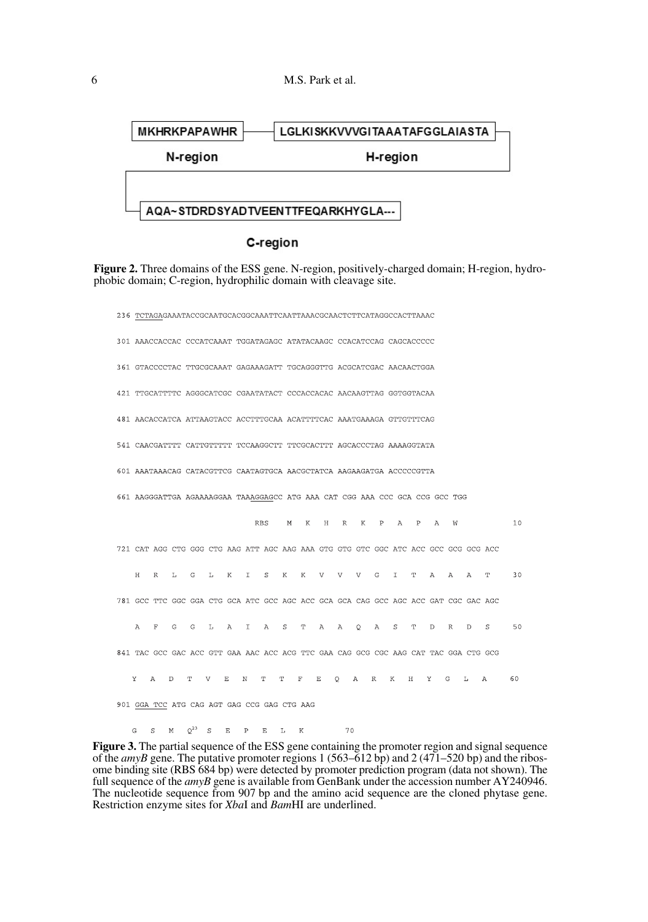

# C-region

**Figure 2.** Three domains of the ESS gene. N-region, positively-charged domain; H-region, hydrophobic domain; C-region, hydrophilic domain with cleavage site.

236 TCTAGAGAAATACCGCAATGCACGGCAAATTCAATTAAACGCAACTCTTCATAGGCCACTTAAAC 301 AAACCACCAC CCCATCAAAT TGGATAGAGC ATATACAAGC CCACATCCAG CAGCACCCCC 361 GTACCCCTAC TTGCGCAAAT GAGAAAGATT TGCAGGGTTG ACGCATCGAC AACAACTGGA 421 TTGCATTTTC AGGGCATCGC CGAATATACT CCCACCACAC AACAAGTTAG GGTGGTACAA 481 AACACCATCA ATTAAGTACC ACCTTTGCAA ACATTTTCAC AAATGAAAGA GTTGTTTCAG 541 CAACGATTTT CATTGTTTTT TCCAAGGCTT TTCGCACTTT AGCACCCTAG AAAAGGTATA 601 AAATAAACAG CATACGTTCG CAATAGTGCA AACGCTATCA AAGAAGATGA ACCCCCGTTA 661 AAGGGATTGA AGAAAAGGAA TAAAGGAGCC ATG AAA CAT CGG AAA CCC GCA CCG GCC TGG  $_{\rm RBS}$  $10$ M K H R K P A P A W 721 CAT AGG CTG GGG CTG AAG ATT AGC AAG AAA GTG GTG GTC GGC ATC ACC GCC GCG GCG ACC  $R$ L G L K I S  $\,$  K  $\,$  $\rm K$  $\mathbf{V}$ V V G I T A  $A$  $A$  $\mathbf{T}$  $30$ 781 GCC TTC GGC GGA CTG GCA ATC GCC AGC ACC GCA GCA CAG GCC AGC AGC GAT CGC GAC AGC  $\mathsf{G}$  $\mathbf{G}$  $\mathbb L$  $A$  $\mathbb T$  $A$  $\,$   $\,$   $\,$   $\,$  $\mathbf T$  $\mathbf{A}$  $A$  $\circ$  $\overline{A}$  $\, \mathbb{S} \,$  $\mathbf T$  $\mathbb D$  $\mathbb R$  $\mathbb D$  $\mathbf S$ 50 841 TAC GCC GAC ACC GTT GAA AAC ACC ACG TTC GAA CAG GCG CGC AAG CAT TAC GGA CTG GCG  $\mathbb{R}$  $\mathbb{R}^2$  $N$  T T  $\mathbf{F}$  $\mathbf{E}$  $\overline{A}$ R K H Y G L A 60  $\mathbf{v}$  $\Delta$  $T$  $\bar{v}$  $\circ$ 901 GGA TCC ATG CAG AGT GAG CCG GAG CTG AAG

 $\mathsf{G} \qquad \mathsf{S} \qquad \mathsf{M} \qquad \mathsf{Q}^{23} \qquad \mathsf{S} \qquad \mathsf{E} \qquad \mathsf{P} \qquad \mathsf{E} \qquad \mathsf{L} \qquad \mathsf{K}$ 70

**Figure 3.** The partial sequence of the ESS gene containing the promoter region and signal sequence of the *amyB* gene. The putative promoter regions 1 (563–612 bp) and 2 (471–520 bp) and the ribosome binding site (RBS 684 bp) were detected by promoter prediction program (data not shown). The full sequence of the *amyB* gene is available from GenBank under the accession number AY240946. The nucleotide sequence from 907 bp and the amino acid sequence are the cloned phytase gene. Restriction enzyme sites for *Xba*I and *Bam*HI are underlined.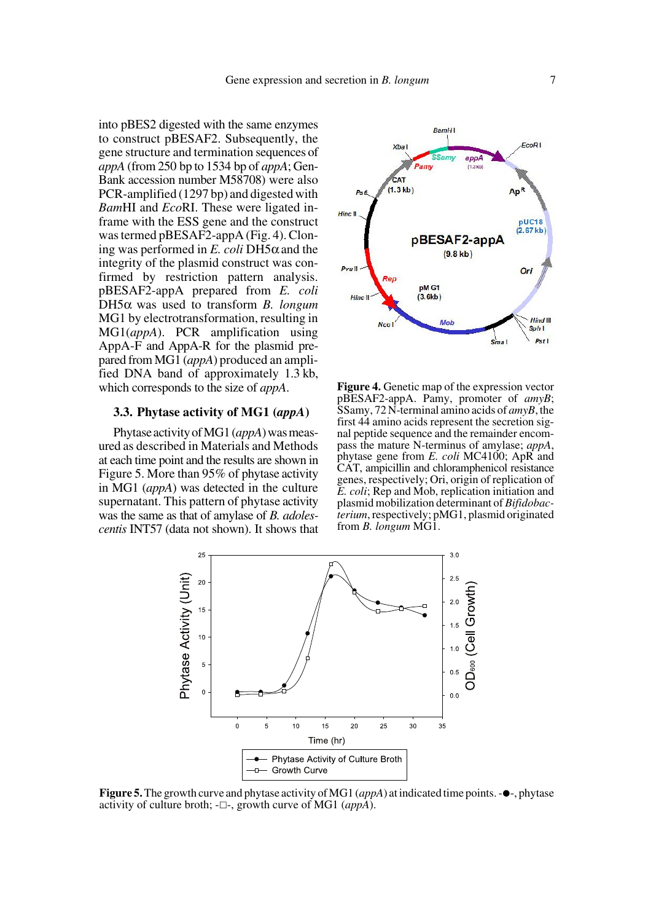into pBES2 digested with the same enzymes to construct pBESAF2. Subsequently, the gene structure and termination sequences of *appA* (from 250 bp to 1534 bp of *appA*; Gen-Bank accession number M58708) were also PCR-amplified (1297 bp) and digested with *Bam*HI and *Eco*RI. These were ligated inframe with the ESS gene and the construct was termed pBESAF2-appA (Fig. 4). Cloning was performed in *E. coli* DH5α and the integrity of the plasmid construct was confirmed by restriction pattern analysis. pBESAF2-appA prepared from *E. coli* DH5α was used to transform *B. longum* MG1 by electrotransformation, resulting in MG1(*appA*). PCR amplification using AppA-F and AppA-R for the plasmid prepared from MG1 (*appA*) produced an amplified DNA band of approximately 1.3 kb, which corresponds to the size of *appA*.

## **3.3. Phytase activity of MG1 (***appA***)**

Phytase activity of MG1 (*appA*) was measured as described in Materials and Methods at each time point and the results are shown in Figure 5. More than 95% of phytase activity in MG1 (*appA*) was detected in the culture supernatant. This pattern of phytase activity was the same as that of amylase of *B. adolescentis* INT57 (data not shown). It shows that



**Figure 4.** Genetic map of the expression vector pBESAF2-appA. Pamy, promoter of *amyB*; SSamy, 72 N-terminal amino acids of *amyB*, the first 44 amino acids represent the secretion signal peptide sequence and the remainder encompass the mature N-terminus of amylase; *appA*, phytase gene from *E. coli* MC4100; ApR and CAT, ampicillin and chloramphenicol resistance genes, respectively; Ori, origin of replication of *E. coli*; Rep and Mob, replication initiation and plasmid mobilization determinant of *Bifidobacterium*, respectively; pMG1, plasmid originated from *B. longum* MG1.



**Figure 5.** The growth curve and phytase activity of MG1 (*appA*) at indicated time points.  $-\bullet$ , phytase activity of culture broth;  $-\Box$ -, growth curve of MG1 (*appA*).